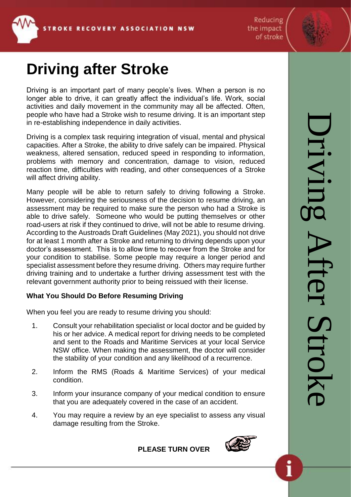

Reducing the impact of stroke



# **Driving after Stroke**

Driving is an important part of many people's lives. When a person is no longer able to drive, it can greatly affect the individual's life. Work, social activities and daily movement in the community may all be affected. Often, people who have had a Stroke wish to resume driving. It is an important step in re-establishing independence in daily activities.

Driving is a complex task requiring integration of visual, mental and physical capacities. After a Stroke, the ability to drive safely can be impaired. Physical weakness, altered sensation, reduced speed in responding to information, problems with memory and concentration, damage to vision, reduced reaction time, difficulties with reading, and other consequences of a Stroke will affect driving ability.

Many people will be able to return safely to driving following a Stroke. However, considering the seriousness of the decision to resume driving, an assessment may be required to make sure the person who had a Stroke is able to drive safely. Someone who would be putting themselves or other road-users at risk if they continued to drive, will not be able to resume driving. According to the Austroads Draft Guidelines (May 2021), you should not drive for at least 1 month after a Stroke and returning to driving depends upon your doctor's assessment. This is to allow time to recover from the Stroke and for your condition to stabilise. Some people may require a longer period and specialist assessment before they resume driving. Others may require further driving training and to undertake a further driving assessment test with the relevant government authority prior to being reissued with their license.

## **What You Should Do Before Resuming Driving**

When you feel you are ready to resume driving you should:

- 1. Consult your rehabilitation specialist or local doctor and be guided by his or her advice. A medical report for driving needs to be completed and sent to the Roads and Maritime Services at your local Service NSW office. When making the assessment, the doctor will consider the stability of your condition and any likelihood of a recurrence.
- 2. Inform the RMS (Roads & Maritime Services) of your medical condition.
- 3. Inform your insurance company of your medical condition to ensure that you are adequately covered in the case of an accident.
- 4. You may require a review by an eye specialist to assess any visual damage resulting from the Stroke.



Driving After StrokeDriving After Strok

### **PLEASE TURN OVER**